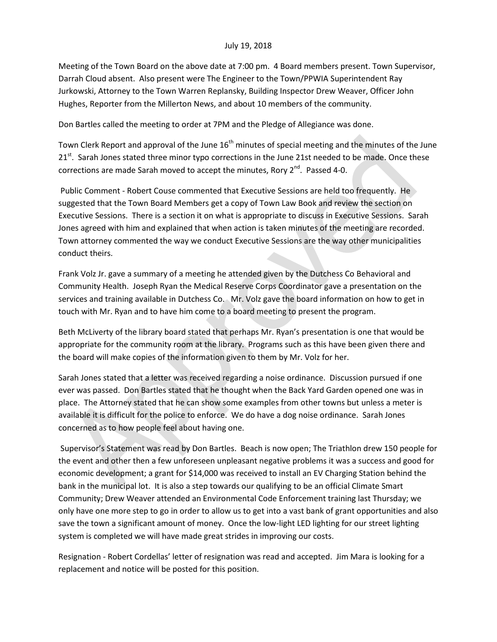## July 19, 2018

Meeting of the Town Board on the above date at 7:00 pm. 4 Board members present. Town Supervisor, Darrah Cloud absent. Also present were The Engineer to the Town/PPWIA Superintendent Ray Jurkowski, Attorney to the Town Warren Replansky, Building Inspector Drew Weaver, Officer John Hughes, Reporter from the Millerton News, and about 10 members of the community.

Don Bartles called the meeting to order at 7PM and the Pledge of Allegiance was done.

Town Clerk Report and approval of the June  $16<sup>th</sup>$  minutes of special meeting and the minutes of the June  $21<sup>st</sup>$ . Sarah Jones stated three minor typo corrections in the June 21st needed to be made. Once these corrections are made Sarah moved to accept the minutes, Rory  $2^{nd}$ . Passed 4-0.

Public Comment - Robert Couse commented that Executive Sessions are held too frequently. He suggested that the Town Board Members get a copy of Town Law Book and review the section on Executive Sessions. There is a section it on what is appropriate to discuss in Executive Sessions. Sarah Jones agreed with him and explained that when action is taken minutes of the meeting are recorded. Town attorney commented the way we conduct Executive Sessions are the way other municipalities conduct theirs.

Frank Volz Jr. gave a summary of a meeting he attended given by the Dutchess Co Behavioral and Community Health. Joseph Ryan the Medical Reserve Corps Coordinator gave a presentation on the services and training available in Dutchess Co. Mr. Volz gave the board information on how to get in touch with Mr. Ryan and to have him come to a board meeting to present the program.

Beth McLiverty of the library board stated that perhaps Mr. Ryan's presentation is one that would be appropriate for the community room at the library. Programs such as this have been given there and the board will make copies of the information given to them by Mr. Volz for her.

Sarah Jones stated that a letter was received regarding a noise ordinance. Discussion pursued if one ever was passed. Don Bartles stated that he thought when the Back Yard Garden opened one was in place. The Attorney stated that he can show some examples from other towns but unless a meter is available it is difficult for the police to enforce. We do have a dog noise ordinance. Sarah Jones concerned as to how people feel about having one.

Supervisor's Statement was read by Don Bartles. Beach is now open; The Triathlon drew 150 people for the event and other then a few unforeseen unpleasant negative problems it was a success and good for economic development; a grant for \$14,000 was received to install an EV Charging Station behind the bank in the municipal lot. It is also a step towards our qualifying to be an official Climate Smart Community; Drew Weaver attended an Environmental Code Enforcement training last Thursday; we only have one more step to go in order to allow us to get into a vast bank of grant opportunities and also save the town a significant amount of money. Once the low-light LED lighting for our street lighting system is completed we will have made great strides in improving our costs.

Resignation - Robert Cordellas' letter of resignation was read and accepted. Jim Mara is looking for a replacement and notice will be posted for this position.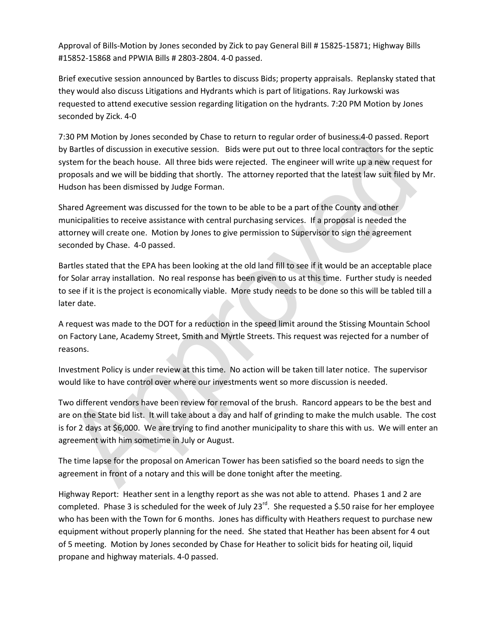Approval of Bills-Motion by Jones seconded by Zick to pay General Bill # 15825-15871; Highway Bills #15852-15868 and PPWIA Bills # 2803-2804. 4-0 passed.

Brief executive session announced by Bartles to discuss Bids; property appraisals. Replansky stated that they would also discuss Litigations and Hydrants which is part of litigations. Ray Jurkowski was requested to attend executive session regarding litigation on the hydrants. 7:20 PM Motion by Jones seconded by Zick. 4-0

7:30 PM Motion by Jones seconded by Chase to return to regular order of business.4-0 passed. Report by Bartles of discussion in executive session. Bids were put out to three local contractors for the septic system for the beach house. All three bids were rejected. The engineer will write up a new request for proposals and we will be bidding that shortly. The attorney reported that the latest law suit filed by Mr. Hudson has been dismissed by Judge Forman.

Shared Agreement was discussed for the town to be able to be a part of the County and other municipalities to receive assistance with central purchasing services. If a proposal is needed the attorney will create one. Motion by Jones to give permission to Supervisor to sign the agreement seconded by Chase. 4-0 passed.

Bartles stated that the EPA has been looking at the old land fill to see if it would be an acceptable place for Solar array installation. No real response has been given to us at this time. Further study is needed to see if it is the project is economically viable. More study needs to be done so this will be tabled till a later date.

A request was made to the DOT for a reduction in the speed limit around the Stissing Mountain School on Factory Lane, Academy Street, Smith and Myrtle Streets. This request was rejected for a number of reasons.

Investment Policy is under review at this time. No action will be taken till later notice. The supervisor would like to have control over where our investments went so more discussion is needed.

Two different vendors have been review for removal of the brush. Rancord appears to be the best and are on the State bid list. It will take about a day and half of grinding to make the mulch usable. The cost is for 2 days at \$6,000. We are trying to find another municipality to share this with us. We will enter an agreement with him sometime in July or August.

The time lapse for the proposal on American Tower has been satisfied so the board needs to sign the agreement in front of a notary and this will be done tonight after the meeting.

Highway Report: Heather sent in a lengthy report as she was not able to attend. Phases 1 and 2 are completed. Phase 3 is scheduled for the week of July  $23^{rd}$ . She requested a \$.50 raise for her employee who has been with the Town for 6 months. Jones has difficulty with Heathers request to purchase new equipment without properly planning for the need. She stated that Heather has been absent for 4 out of 5 meeting. Motion by Jones seconded by Chase for Heather to solicit bids for heating oil, liquid propane and highway materials. 4-0 passed.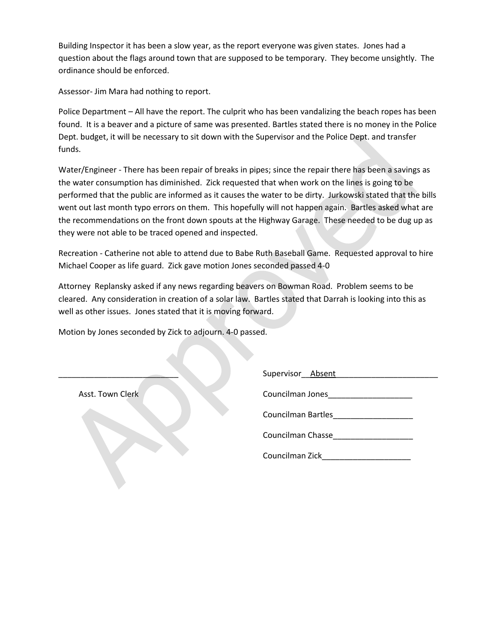Building Inspector it has been a slow year, as the report everyone was given states. Jones had a question about the flags around town that are supposed to be temporary. They become unsightly. The ordinance should be enforced.

Assessor- Jim Mara had nothing to report.

Police Department – All have the report. The culprit who has been vandalizing the beach ropes has been found. It is a beaver and a picture of same was presented. Bartles stated there is no money in the Police Dept. budget, it will be necessary to sit down with the Supervisor and the Police Dept. and transfer funds.

Water/Engineer - There has been repair of breaks in pipes; since the repair there has been a savings as the water consumption has diminished. Zick requested that when work on the lines is going to be performed that the public are informed as it causes the water to be dirty. Jurkowski stated that the bills went out last month typo errors on them. This hopefully will not happen again. Bartles asked what are the recommendations on the front down spouts at the Highway Garage. These needed to be dug up as they were not able to be traced opened and inspected.

Recreation - Catherine not able to attend due to Babe Ruth Baseball Game. Requested approval to hire Michael Cooper as life guard. Zick gave motion Jones seconded passed 4-0

Attorney Replansky asked if any news regarding beavers on Bowman Road. Problem seems to be cleared. Any consideration in creation of a solar law. Bartles stated that Darrah is looking into this as well as other issues. Jones stated that it is moving forward.

Motion by Jones seconded by Zick to adjourn. 4-0 passed.

| Supervisor<br>Absent |  |
|----------------------|--|
|                      |  |

Asst. Town Clerk Councilman Jones\_\_\_\_\_\_\_\_\_\_\_\_\_\_\_\_\_\_\_

Councilman Bartles\_\_\_\_\_\_\_\_\_\_\_\_\_\_\_\_\_\_

Councilman Chasse\_\_\_\_\_\_\_\_\_\_\_\_\_\_\_\_\_\_

Councilman Zick\_\_\_\_\_\_\_\_\_\_\_\_\_\_\_\_\_\_\_\_